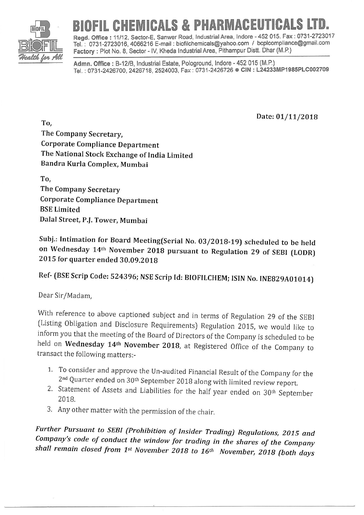

## BIOFIL CHEMICALS & PHARMACEUTICALS LID.

Regd. Office : 11/12, Sector-E, Sanwer Road, Industrial Area, Indore - 452 015. Fax : 0731-2723017 fel : 0731-2723016, 4066216 E-mail : biofilchemicals@yahoo.com / bcplcompliance@gmail com Factory : Plot No. 8, Sector - IV, Kheda Industrial Area, Pithampur Distt. Dhar (M.P.)

Admn. Office : B-12/B, Industrial Estate, Pologround, Indore - 452 015 (M.P.) Tel.: 0731-2426700, 2426718, 2524003, Fax: 0731-2426726 . CIN: L24233MP1985PLC002709

Date: 01/11/2018

To, The Company Secretary, Corporate Compliance Department The National Stock Exchange of India Limited Bandra Kurla Complex, Mumbai

To, The Company Secretary Corporate Compliance Department BSE Limited Dalal Street, P.f. Tower, Mumbai

Subj.: Intimation for Board Meeting(serial No.03/2018-19) scheduled to be held on Wednesday 14<sup>th</sup> November 2018 pursuant to Regulation 29 of SEBI (LODR) 2015 for quarter ended 30.09,2018

Ref'(BSE scrip code: 524396; NSE scrip Id: BIoFTLCHEM; |SIN No. |NEB29A01014)

Dear Sir/Madam,

with reference to above captioned subject and in terms of Regulation 29 of the SEBI (Listing Obligation and Disclosure Requirements) Regulation 2015, we would like to inform you that the meeting of the Board of Directors of the Company is scheduled to be held on Wednesday 14<sup>th</sup> November 2018, at Registered Office of the Company to transact the following matters:-

- 1. To consider and approve the Un-audited Financial Result of the Company for the  $2<sup>nd</sup>$  Quarter ended on  $30<sup>th</sup>$  September 2018 along with limited review report.
- 2. Statement of Assets and Liabilities for the half year ended on 30<sup>th</sup> September 2018.
- 3. Any other matter with the permission of the chair.

Further Pursuant to SEBI (Prohibition of Insider Trading) Regulations, 2015 and<br>Company's code of conduct the window for trading in the shares of the Company<br>shall remain closed from 1<sup>st</sup> November 2018 to 16<sup>th</sup> November,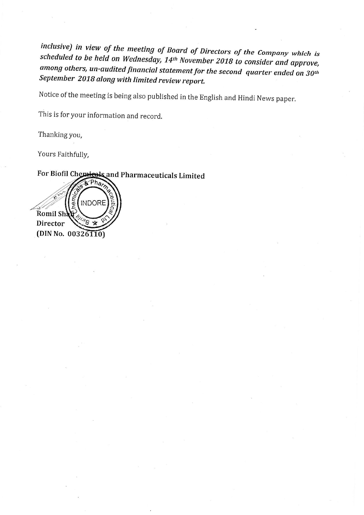inclusive) in view of the meeting of Board of Directors of the Company which is<br>scheduled to be held on Wednesday, 14<sup>th</sup> November 2018 to consider and approve, among others, un-audited financial statement for the second quarter ended on 30<sup>th</sup><br>September 2018 along with limited review report.

Notice of the meeting is being also published in the English and Hindi News paper.

This is for your information and record.

Thanking you,

Yours Faithfully,

## For Biofil Chemicals and Pharmaceuticals Limited